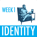# WEEK 1



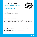## **i·den·ti·ty –** *noun*

**1.** *the condition of being oneself and not another.* **2.** *the condition or character as to who a person is.* **3.** *a point of sameness or likeness.*



**Theme:** *Identity* - The personal identity we have as followers of Jesus, and the group identity we have by being part of a Christian community. What makes us who we are and what makes us different from the people and culture around us?

**Bible Passages: OT** - Genesis 17:1-16 **NT** - Acts 9:1-16

**Commentary:** A comprehensive resource to help leaders understand the context behind the passage. Find it at the back of the cards.

**The Story:** A quick introduction to the week's bible passages and theme, which aims to engage people in the big picture of God's story, and the challenge of living faith in light of that.

**For the Media Hounds:** "Ask an Iraqi a Question" from the Summit DVD.

For the Scholars: Discussion questions focusing on exploring this weeks bible passages.

**For the Dreamers:** Discussions questions focusing on mulling over this weeks theme.

**For the Realists:** Possibilities for on topic testimonials, sharing & storytelling

**For the Activists:** Activities & adventures beyond the couch.

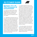## OLD TESTAMENT READING



#### **Genesis 17:1-16 The Covenant of Circumcision**

When Abram was ninety-nine years old, the LORD appeared to him and said, "I am God Almighty; walk before me faithfully and be blameless. Then I will make my covenant between me and you and will greatly increase your numbers."

Abram fell facedown, and God said to him, "As for me, this is my covenant with you: You will be the father of many nations. No longer will you be called Abram; your name will be Abraham, for I have made you a father of many nations. I will make you very fruitful; I will make nations of you, and kings will come from you. I will establish my covenant as an everlasting covenant between me and you and your descendants after you for the generations to come, to be your God and the God of your descendants after you. The whole land of Canaan, where you now reside as a foreigner, I will give as an everlasting possession to you and your descendants after you; and I will be their God."

Then God said to Abraham, "As for you, you must keep my covenant, you and your descendants after you for the generations to come. This is my covenant with you and your descendants after you, the covenant you are to keep: Every male among you shall be circumcised. You are to undergo circumcision, and it will be the sign of the covenant between me and you. For the generations to come every male among you who is eight days old must be circumcised, including those born in your household or bought with money from a foreigner those who are not your offspring. Whether born in your household or bought with your money, they must be circumcised. My covenant in your flesh is to be an everlasting covenant. Any uncircumcised male, who has not been circumcised in the flesh, will be cut off from his people; he has broken my covenant."

God also said to Abraham, "As for Sarai your wife, you are no longer to call her Sarai; her name will be Sarah. I will bless her and will surely give you a son by her. I will bless her so that she will be the mother of nations; kings of peoples will come from her."

#### **IDENTITY**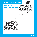## NEW TESTAMENT READING



#### **Acts 9:1-16 Saul's Conversion**

Meanwhile, Saul was still breathing out murderous threats against the Lord's disciples. He went to the high priest and asked him for letters to the synagogues in Damascus, so that if he found any there who belonged to the Way, whether men or women, he might take them as prisoners to Jerusalem. As he neared Damascus on his journey, suddenly a light from heaven flashed around him. He fell to the ground and heard a voice say to him, "Saul, Saul, why do you persecute me?"

 "Who are you, Lord?" Saul asked. "I am Jesus, whom you are persecuting," he replied. "Now get up and go into the city, and you will be told what you must do." The men traveling with Saul stood there speechless; they heard the sound but did not see anyone. Saul got up from the ground, but when he opened his eyes he could see nothing. So they led him by the hand into Damascus. For three days he was blind, and did not eat or drink anything.

In Damascus there was a disciple named Ananias. The Lord called to him in a vision, "Ananias!" "Yes, Lord," he answered. The Lord told him, "Go to the house of Judas on Straight Street and ask for a man from Tarsus named Saul, for he is praying. In a vision he has seen a man named Ananias come and place his hands on him to restore his sight." "Lord," Ananias answered, "I have heard many reports about this man and all the harm he has done to your people in Jerusalem. And he has come here with authority from the chief priests to arrest all who call on your name." But the Lord said to Ananias, "Go! This man is my chosen instrument to proclaim my name to the Gentiles and their kings and to the people of Israel. I will show him how much he must suffer for my name."

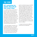## THE STORY

#### **It's amazing to think that of all the ways that**

God could have started to unveil his Glory to the world - using a voice from the sky, or a divine fax machine, or a choir of Holy singing midgets - that he choose instead to form a community. A community that started in Genesis with the Covenant between Abraham and God, and then morphed into the Church in the New Testament, and craziest of all, now it's us. For whatever reason, God has choosen to work through a bunch of imperfect and impatient yobo's like us. It's now our turn to take the baton off Abraham and Paul, and model to the world how God wants everyone to live.

So when we get together as Christians to eat and study and laugh and pray - we're actually doing much more than just those things on there own. We're actually attempting to live out a new community, and a new way of being. So in one sense we're sort of like resident aliens in a foreign country, because we just never

quite fit in (a bit like the Iraqi guy on the DVD). People are intrigued by why we do what we do, and why we believe what we believe. And while the world might reward those who are self centered, and greedy, and judgmental, and discouraging, together as a community we live according to what God thinks is good - to be caring and generous, accepting and encouraging. This is what makes us who we are. It's part of our God shaped DNA. Together we have an identity that is stronger than any clothing brand or social niche or musical taste or career choice. And even though we often miss the mark - it's precisely because we keep on trying to live God's values better as a community that makes us so different.

So, in light of all of that, just how different to the status quo do we actually look?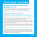## FOR THE SCHOLARS - OLD TESTAMENT

#### **Group discussion questions for Genesis 17:1-16**

1. Abram was told to walk before God and be blameless. What does this mean? How do we try to be "blameless" in our own lives? Is it even possible?

*NOTE: Abram was called not simply to know God was there, but that he should be in an actual relationship with Him.*

#### 2. What was Abrams initial response to God and why?

*NOTE: For the record other examples of people's responses to God... Daniel was completely overcome by the might of God (Dan 10.7-9), Moses lay prostrate to pray and repent for the people (Deut 9.18-19), John was in awe and fear of Christ (Rev 1.17), Woman who anointed Jesus' feet in love and worship (Luke 7.38).*

3. Why do you think God bothers changing his name form Abram too Abraham? What is the significance of the promise God makes to Abraham?

4. What is the responsibility of Abraham in this covenant? Circumcision would have been a painful part of the process both physically and in humility. What else is painful about our relationship with God?

5. God makes clear that any uncircumcised male must be cut off from the people. Why did he do that? Do we struggle to acknowledge God as judge, even when itís harsh?

*NOTE: The implication of being cut off is that the person will wither and die, like a branch does when it's cut from a tree.* 

6. Sarah was 90 and Abraham 99 - far beyond the age of having children - and yet God still promised them a son (Isaac). Later on even Abraham and Sarah laugh at the idea because it seems so ridiculous! What would be our reaction to something like that happening today, or any miracle or sign?

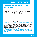## FOR THE SCHOLARS - NEW TESTAMENT

## **Group discussion questions for Acts 9:1-16**

1. "Breathing out murderous threats" is a pretty vivid and interesting image of Paul's mindset and actions (v1). What murderous threats is Paul breathing?

2. If you heard a voice in the sky calling you what would be your first response? Note: For another example see 1 Sam 3.1-10.

3. Literally speaking the name Saul means 'Asks of God', while the name Paul means 'Little'. In what ways is Saul made little or humbled to God in this reading? How does God humble us today?

*NOTE: Proverbs 16.18 Pride goes before destruction, a haughty spirit before a fall. Haughty means to be "arrogantly superior and disdainful."*

4. Ananias was scared that going to Saul would end up harming the church ( $v13$ ). Would we react the same way? When do we let fear overcome our own call to obey God and live according to His ways?

*NOTE: We're called to follow God, but not be stupid with ourselves. We don't seek danger, but we do seek a God which can bring danger.*

5. The last few sentences are scary words, ones that Paul came to understand all too well (v14-16). How comfortable are we with the reality that following God sometimes leads to suffering? Would we follow God as closely if we had such promises of suffering spoken about us?

*NOTE: In the book The Heavenly Man Brother Yun talks of the suffering he underwent for the faithful in China - imprisonment, beatings and weeks of starvation are some of the trials he faced, and all the way through he prayed and proclaimed Christ even more. At times he almost begged God for death, but God had other plans.*

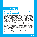6. After this story Ananias went to Saul, laid hands on him and prayed for him. After all Paul had done to Christians, this massive act of healing and acceptance into the fellowship of the church must have been mind blowing. The man who's goal was to imprison Christians was now forgiven and accepted as a brother into faith. What enables us to feel accepted into the church? How should we accept others?

## FOR THE DREAMERS

## **Group discussion questions for the theme of "Identity"**

1. When God entered into a Covenant with Abraham in Genesis, He was calling Abraham to begin a new people that would reflect the values of God on Earth, and would be a light to all the surrounding nations. Being in Christian community means we try to live and model something different than the outside world - something that reflects the new Kingdom of God. What do you think should be the main marks of Christian community at it's best? How is your group doing at living up to these - do you feel you're not different enough, or too different?

2. God gave both Abraham and Paul new names as a reflection of their new roles and service in God's kingdom, implying that our identity in God's plan is important for us, and that words and language are important to God. Do you think the language we use and the way we talk about people in our church communities matter? Do you think names, either of individuals or of our communities matters in our place before God and as we establish our work in the world? What does the name/title 'Christian' mean to you (first used in Acts 11.26)

2. We live in a society where a person's image, identity and culture are hugely important as a way to help them find their place in the world. What things about our Christian faith do you think we could draw on more or be more proud of as a way of shaping our own identities to be more like Jesus?

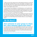3. What are some of the reasons that you think people have become so concerned with self-image and identity? What are some of the dangers of investing too much into what others think of you, instead of what God thinks of you? What are things you can do to keep your own identity focused on God rather than on your own image or other people's opinion of you?

5. It's one thing to have an identity as an individual person - but it's another thing completely to have a shared identity as a group of people. Do you feel you have a shared identity with your church community? Is there anything about your cluster group that makes you feel proud to be part of it? What would have to change for your group to be better at embodying God's Kingdom?

6. On one hand being a Christian means you'll be different than those around you a lot of the time but, as lesus showed us, it also means making an effort to share our lives with those same people as well. What things do you think Christians should be different on, and what things should Christians embrace as a way of relating to others?

# FOR THE REALISTS

#### **Ask someone in your group to share for a few minutes about how their**

faith makes them stick out or be notably different compared to their non-Christian friends. Ask them how they deal with the temptation to just conform rather than live by God's values? How do they work out what things to take a stand on? How do they deal with any flack they've received or insecurity they feel about being a Christian around non-Christians?

*NOTE: remember to ask them at least a few days before hand so they get a chance to work out what they're going to say.*